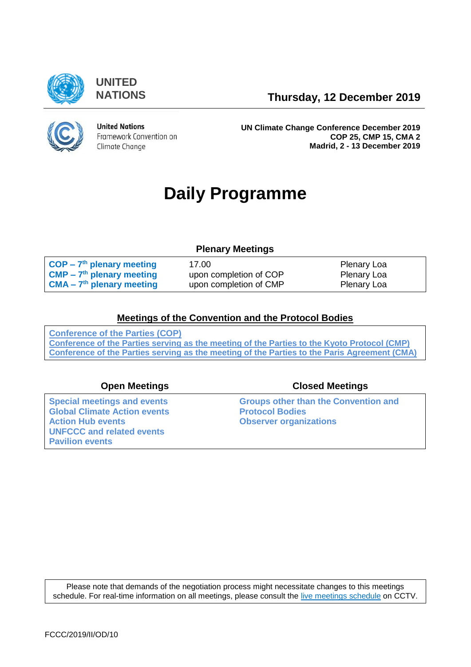

**UNITED**

**NATIONS Thursday, 12 December 2019**



**United Nations** Framework Convention on Climate Change

**UN Climate Change Conference December 2019 COP 25, CMP 15, CMA 2 Madrid, 2 - 13 December 2019**

# **Daily Programme**

### **Plenary Meetings**

| $\overline{COP}$ – 7 <sup>th</sup> plenary meeting   | 17.00                  | Plenary Loa |
|------------------------------------------------------|------------------------|-------------|
| $\mathsf{CMP} - 7^{\text{th}}$ plenary meeting       | upon completion of COP | Plenary Loa |
| $\blacksquare$ CMA – 7 <sup>th</sup> plenary meeting | upon completion of CMP | Plenary Loa |

### **[Meetings of the Convention and the Protocol Bodies](https://grandreserva.unfccc.int/grandreserva/public/schedule?time=2019-12-12&conference_id=75&meeting_type=&body=3,4,5,6,7,10&webcast=0)**

**[Conference of the Parties \(COP\)](https://grandreserva.unfccc.int/grandreserva/public/schedule?time=2019-12-12&conference_id=75&meeting_type=&body=4&webcast=0) [Conference of the Parties serving as the meeting of the Parties to the Kyoto Protocol \(CMP\)](https://grandreserva.unfccc.int/grandreserva/public/schedule?time=2019-12-12&conference_id=75&meeting_type=&body=3&webcast=0) [Conference of the Parties serving as the meeting of the Parties to the Paris Agreement \(CMA\)](https://grandreserva.unfccc.int/grandreserva/public/schedule?time=2019-12-12&conference_id=75&meeting_type=&body=10&webcast=0)**

**[Special meetings and events](#page-2-0) [Global Climate Action events](#page-2-1) [UNFCCC and related events](#page-3-0) [Pavilion events](#page-3-1)**

### **Open Meetings Closed Meetings**

**[Groups other than the Convention and](#page-4-0)  [Protocol Bodies](#page-4-0) Abserver organizations** 

Please note that demands of the negotiation process might necessitate changes to this meetings schedule. For real-time information on all meetings, please consult the [live meetings schedule](https://grandreserva.unfccc.int/grandreserva/public/schedule) on CCTV.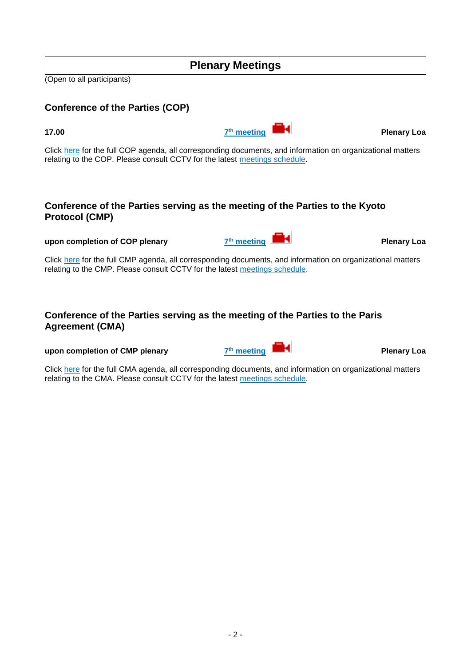### <span id="page-1-1"></span>**Conference of the Parties serving as the meeting of the Parties to the Kyoto Protocol (CMP)**

Click [here](https://unfccc.int/event/cmp-15) for the full CMP agenda, all corresponding documents, and information on organizational matters relating to the CMP. Please consult CCTV for the latest [meetings schedule.](https://grandreserva.unfccc.int/grandreserva/public/schedule)

### <span id="page-1-2"></span>**Conference of the Parties serving as the meeting of the Parties to the Paris Agreement (CMA)**

#### **upon completion of CMP plenary 7th meeting**

Click [here](https://unfccc.int/event/cma-2) for the full CMA agenda, all corresponding documents, and information on organizational matters relating to the CMA. Please consult CCTV for the latest [meetings schedule.](https://grandreserva.unfccc.int/grandreserva/public/schedule)

(Open to all participants)



<span id="page-1-0"></span>

**Plenary Loa**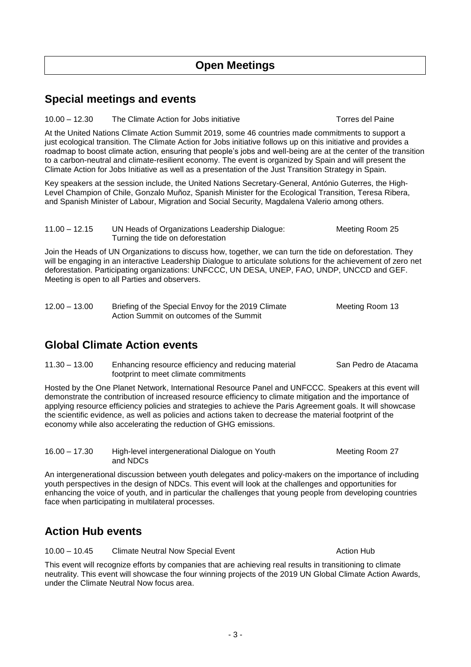### <span id="page-2-0"></span>**Special meetings and events**

10.00 – 12.30 The Climate Action for Jobs initiative Torres del Paine

At the United Nations Climate Action Summit 2019, some 46 countries made commitments to support a just ecological transition. The Climate Action for Jobs initiative follows up on this initiative and provides a roadmap to boost climate action, ensuring that people's jobs and well-being are at the center of the transition to a carbon-neutral and climate-resilient economy. The event is organized by Spain and will present the Climate Action for Jobs Initiative as well as a presentation of the Just Transition Strategy in Spain.

Key speakers at the session include, the United Nations Secretary-General, António Guterres, the High-Level Champion of Chile, Gonzalo Muñoz, Spanish Minister for the Ecological Transition, Teresa Ribera, and Spanish Minister of Labour, Migration and Social Security, Magdalena Valerio among others.

11.00 – 12.15 UN Heads of Organizations Leadership Dialogue: Meeting Room 25 Turning the tide on deforestation

Join the Heads of UN Organizations to discuss how, together, we can turn the tide on deforestation. They will be engaging in an interactive Leadership Dialogue to articulate solutions for the achievement of zero net deforestation. Participating organizations: UNFCCC, UN DESA, UNEP, FAO, UNDP, UNCCD and GEF. Meeting is open to all Parties and observers.

| $12.00 - 13.00$ | Briefing of the Special Envoy for the 2019 Climate | Meeting Room 13 |
|-----------------|----------------------------------------------------|-----------------|
|                 | Action Summit on outcomes of the Summit            |                 |

### <span id="page-2-1"></span>**Global Climate Action events**

11.30 – 13.00 Enhancing resource efficiency and reducing material San Pedro de Atacama footprint to meet climate commitments

Hosted by the One Planet Network, International Resource Panel and UNFCCC. Speakers at this event will demonstrate the contribution of increased resource efficiency to climate mitigation and the importance of applying resource efficiency policies and strategies to achieve the Paris Agreement goals. It will showcase the scientific evidence, as well as policies and actions taken to decrease the material footprint of the economy while also accelerating the reduction of GHG emissions.

16.00 – 17.30 High-level intergenerational Dialogue on Youth Meeting Room 27 and NDCs

An intergenerational discussion between youth delegates and policy-makers on the importance of including youth perspectives in the design of NDCs. This event will look at the challenges and opportunities for enhancing the voice of youth, and in particular the challenges that young people from developing countries face when participating in multilateral processes.

## <span id="page-2-2"></span>**Action Hub events**

10.00 – 10.45 Climate Neutral Now Special Event Action Hub

This event will recognize efforts by companies that are achieving real results in transitioning to climate neutrality. This event will showcase the four winning projects of the 2019 UN Global Climate Action Awards, under the Climate Neutral Now focus area.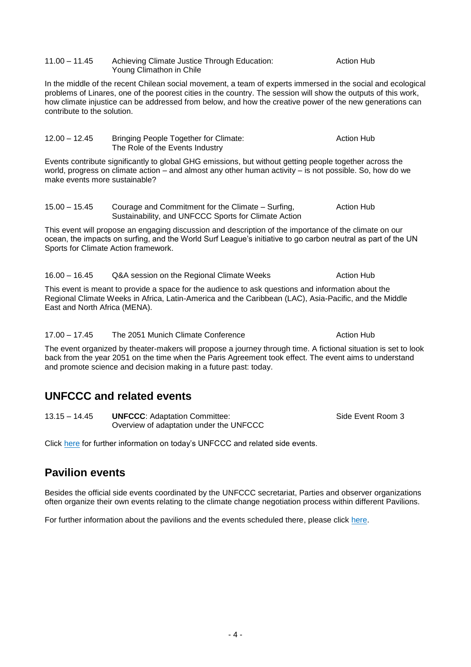#### 11.00 – 11.45 Achieving Climate Justice Through Education: Action Hub Young Climathon in Chile

In the middle of the recent Chilean social movement, a team of experts immersed in the social and ecological problems of Linares, one of the poorest cities in the country. The session will show the outputs of this work, how climate injustice can be addressed from below, and how the creative power of the new generations can contribute to the solution.

| $12.00 - 12.45$ | Bringing People Together for Climate: | Action Hub |
|-----------------|---------------------------------------|------------|
|                 | The Role of the Events Industry       |            |
|                 |                                       |            |

Events contribute significantly to global GHG emissions, but without getting people together across the world, progress on climate action – and almost any other human activity – is not possible. So, how do we make events more sustainable?

15.00 – 15.45 Courage and Commitment for the Climate – Surfing, The Action Hub Sustainability, and UNFCCC Sports for Climate Action

This event will propose an engaging discussion and description of the importance of the climate on our ocean, the impacts on surfing, and the World Surf League's initiative to go carbon neutral as part of the UN Sports for Climate Action framework.

16.00 – 16.45 Q&A session on the Regional Climate Weeks Action Hub

This event is meant to provide a space for the audience to ask questions and information about the Regional Climate Weeks in Africa, Latin-America and the Caribbean (LAC), Asia-Pacific, and the Middle East and North Africa (MENA).

17.00 – 17.45 The 2051 Munich Climate Conference Action Hub

The event organized by theater-makers will propose a journey through time. A fictional situation is set to look back from the year 2051 on the time when the Paris Agreement took effect. The event aims to understand and promote science and decision making in a future past: today.

### <span id="page-3-0"></span>**UNFCCC and related events**

13.15 – 14.45 **UNFCCC:** Adaptation Committee: Side Event Room 3 Overview of adaptation under the UNFCCC

Click [here](https://seors.unfccc.int/applications/seors/reports/events_list.html?session_id=COP%2025) for further information on today's UNFCCC and related side events.

### <span id="page-3-1"></span>**Pavilion events**

Besides the official side events coordinated by the UNFCCC secretariat, Parties and observer organizations often organize their own events relating to the climate change negotiation process within different Pavilions.

For further information about the pavilions and the events scheduled there, please click [here.](https://unfccc.int/process-and-meetings/conferences/un-climate-change-conference-december-2019/events/pavilions-at-cop-25)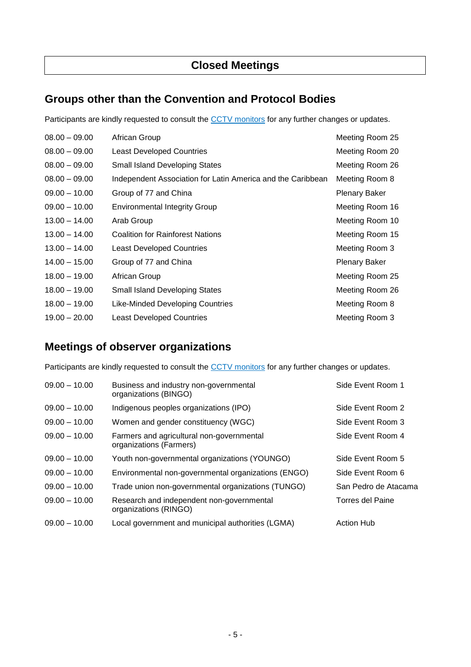### <span id="page-4-0"></span>**Groups other than the Convention and Protocol Bodies**

Participants are kindly requested to consult the [CCTV monitors](https://grandreserva.unfccc.int/grandreserva/public/schedule) for any further changes or updates.

| $08.00 - 09.00$ | African Group                                               | Meeting Room 25      |
|-----------------|-------------------------------------------------------------|----------------------|
| $08.00 - 09.00$ | <b>Least Developed Countries</b>                            | Meeting Room 20      |
| $08.00 - 09.00$ | <b>Small Island Developing States</b>                       | Meeting Room 26      |
| $08.00 - 09.00$ | Independent Association for Latin America and the Caribbean | Meeting Room 8       |
| $09.00 - 10.00$ | Group of 77 and China                                       | Plenary Baker        |
| $09.00 - 10.00$ | <b>Environmental Integrity Group</b>                        | Meeting Room 16      |
| $13.00 - 14.00$ | Arab Group                                                  | Meeting Room 10      |
| $13.00 - 14.00$ | <b>Coalition for Rainforest Nations</b>                     | Meeting Room 15      |
| $13.00 - 14.00$ | Least Developed Countries                                   | Meeting Room 3       |
| $14.00 - 15.00$ | Group of 77 and China                                       | <b>Plenary Baker</b> |
| $18.00 - 19.00$ | African Group                                               | Meeting Room 25      |
| $18.00 - 19.00$ | <b>Small Island Developing States</b>                       | Meeting Room 26      |
| $18.00 - 19.00$ | Like-Minded Developing Countries                            | Meeting Room 8       |
| $19.00 - 20.00$ | <b>Least Developed Countries</b>                            | Meeting Room 3       |

### <span id="page-4-1"></span>**Meetings of observer organizations**

Participants are kindly requested to consult the [CCTV monitors](https://grandreserva.unfccc.int/grandreserva/public/schedule) for any further changes or updates.

| $09.00 - 10.00$ | Business and industry non-governmental<br>organizations (BINGO)      | Side Event Room 1    |
|-----------------|----------------------------------------------------------------------|----------------------|
| $09.00 - 10.00$ | Indigenous peoples organizations (IPO)                               | Side Event Room 2    |
| $09.00 - 10.00$ | Women and gender constituency (WGC)                                  | Side Event Room 3    |
| $09.00 - 10.00$ | Farmers and agricultural non-governmental<br>organizations (Farmers) | Side Event Room 4    |
| $09.00 - 10.00$ | Youth non-governmental organizations (YOUNGO)                        | Side Event Room 5    |
| $09.00 - 10.00$ | Environmental non-governmental organizations (ENGO)                  | Side Event Room 6    |
| $09.00 - 10.00$ | Trade union non-governmental organizations (TUNGO)                   | San Pedro de Atacama |
| $09.00 - 10.00$ | Research and independent non-governmental<br>organizations (RINGO)   | Torres del Paine     |
| $09.00 - 10.00$ | Local government and municipal authorities (LGMA)                    | <b>Action Hub</b>    |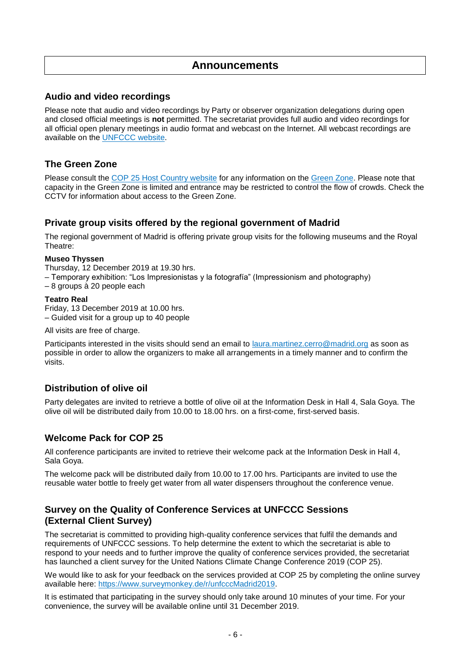### **Announcements**

#### **Audio and video recordings**

Please note that audio and video recordings by Party or observer organization delegations during open and closed official meetings is **not** permitted. The secretariat provides full audio and video recordings for all official open plenary meetings in audio format and webcast on the Internet. All webcast recordings are available on the [UNFCCC](https://unfccc-cop25.streamworld.de/live) website.

#### **The Green Zone**

Please consult the [COP 25 Host Country website](https://www.ifema.es/en/cop25) for any information on the [Green Zone.](https://www.miteco.gob.es/en/cop25/zona-verde/) Please note that capacity in the Green Zone is limited and entrance may be restricted to control the flow of crowds. Check the CCTV for information about access to the Green Zone.

#### **Private group visits offered by the regional government of Madrid**

The regional government of Madrid is offering private group visits for the following museums and the Royal Theatre:

#### **Museo Thyssen**

Thursday, 12 December 2019 at 19.30 hrs.

– Temporary exhibition: "Los Impresionistas y la fotografía" (Impressionism and photography)

– 8 groups à 20 people each

#### **Teatro Real**

Friday, 13 December 2019 at 10.00 hrs. – Guided visit for a group up to 40 people

All visits are free of charge.

Participants interested in the visits should send an email to [laura.martinez.cerro@madrid.org](mailto:laura.martinez.cerro@madrid.org) as soon as possible in order to allow the organizers to make all arrangements in a timely manner and to confirm the visits.

#### **Distribution of olive oil**

Party delegates are invited to retrieve a bottle of olive oil at the Information Desk in Hall 4, Sala Goya. The olive oil will be distributed daily from 10.00 to 18.00 hrs. on a first-come, first-served basis.

#### **Welcome Pack for COP 25**

All conference participants are invited to retrieve their welcome pack at the Information Desk in Hall 4, Sala Goya.

The welcome pack will be distributed daily from 10.00 to 17.00 hrs. Participants are invited to use the reusable water bottle to freely get water from all water dispensers throughout the conference venue.

#### **Survey on the Quality of Conference Services at UNFCCC Sessions (External Client Survey)**

The secretariat is committed to providing high-quality conference services that fulfil the demands and requirements of UNFCCC sessions. To help determine the extent to which the secretariat is able to respond to your needs and to further improve the quality of conference services provided, the secretariat has launched a client survey for the United Nations Climate Change Conference 2019 (COP 25).

We would like to ask for your feedback on the services provided at COP 25 by completing the online survey available here: [https://www.surveymonkey.de/r/unfcccMadrid2019.](https://www.surveymonkey.de/r/unfcccMadrid2019)

It is estimated that participating in the survey should only take around 10 minutes of your time. For your convenience, the survey will be available online until 31 December 2019.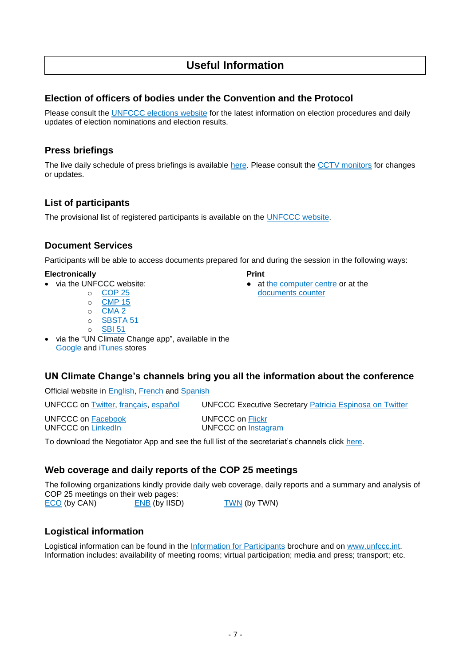### **Useful Information**

#### **Election of officers of bodies under the Convention and the Protocol**

Please consult the [UNFCCC elections website](https://unfccc.int/process-and-meetings/bodies/the-big-picture/election-and-membership) for the latest information on election procedures and daily updates of election nominations and election results.

#### **Press briefings**

The live daily schedule of press briefings is available [here.](https://unfccc.int/calendar) Please consult the [CCTV monitors](https://grandreserva.unfccc.int/grandreserva/public/schedule) for changes or updates.

### **List of participants**

The provisional list of registered participants is available on the [UNFCCC website.](https://unfccc.int/sites/default/files/resource/COP%2025_Provisional%20List%20of%20Participants.pdf)

#### **Document Services**

Participants will be able to access documents prepared for and during the session in the following ways:

[documents counter](https://unfccc.int/process-and-meetings/conferences/un-climate-change-conference-december-2019/information-for-cop-25-participants-a-z#eq-12)

#### **Electronically Print**

- via the UNFCCC website:<br>  $\circ$  COP 25
	-
	- o [CMP 15](https://unfccc.int/event/cmp-15)
	- o [CMA 2](https://unfccc.int/event/cma-2)
	- o [SBSTA 51](https://unfccc.int/event/sbsta-51)
	- o [SBI 51](https://unfccc.int/event/sbi-51)
- via the "UN Climate Change app", available in the [Google](https://play.google.com/store/apps/details?id=unfccc.negotiator) and **iTunes** stores

#### **UN Climate Change's channels bring you all the information about the conference**

Official website in [English,](http://unfccc.int/) [French](https://unfccc.int/fr) and [Spanish](https://unfccc.int/es)

UNFCCC on [Twitter,](https://twitter.com/UNFCCC) [français,](https://twitter.com/CCNUCC) [español](https://twitter.com/CMNUCC) UNFCCC Executive Secretary [Patricia Espinosa on Twitter](https://twitter.com/PEspinosaC) UNFCCC on [Facebook](https://www.facebook.com/UNclimatechange/) UNFCCC on [Flickr](https://www.flickr.com/photos/unfccc/) UNFCCC on [LinkedIn](https://www.linkedin.com/company/unfccc?trk=vsrp_companies_res_name&trkInfo=VSRPsearchId%3A1167859571477476909354%2CVSRPtargetId%3A35503%2CVSRPcmpt%3Aprimary) UNFCCC on [Instagram](https://www.instagram.com/unfccc/)

To download the Negotiator App and see the full list of the secretariat's channels click [here.](https://unfccc.int/virtual-participation-cop25)

#### **Web coverage and daily reports of the COP 25 meetings**

The following organizations kindly provide daily web coverage, daily reports and a summary and analysis of COP 25 meetings on their web pages:

[ECO](http://www.climatenetwork.org/eco-newsletters) (by CAN) [ENB](http://enb.iisd.org/climate/cop25/enb) (by IISD) [TWN](http://www.twn.my/title2/climate/climate_updates-briefings.htm) (by TWN)

#### **Logistical information**

Logistical information can be found in the [Information for Participants](https://unfccc.int/process-and-meetings/conferences/un-climate-change-conference-december-2019/information-for-participants-a-z) brochure and on [www.unfccc.int.](https://unfccc.int/cop25) Information includes: availability of meeting rooms; virtual participation; media and press; transport; etc.